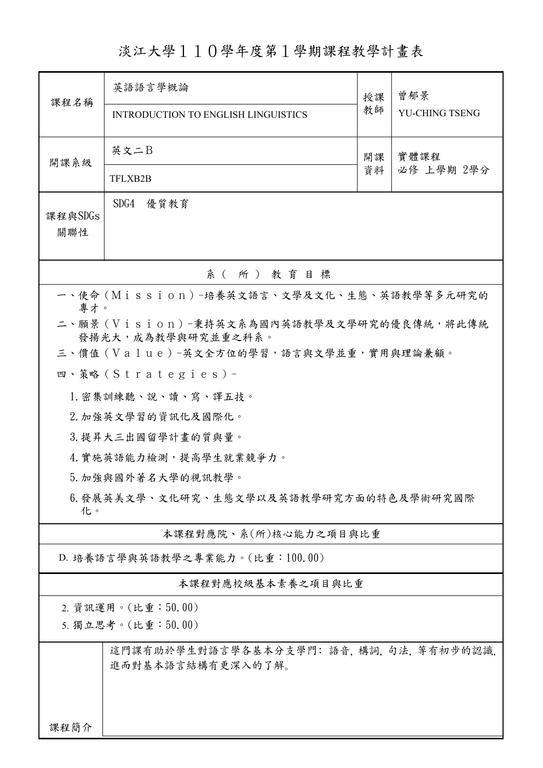淡江大學110學年度第1學期課程教學計畫表

| 課程名稱                                                                   | 英語語言學概論                                                    | 授課 | 曾郁景<br>YU-CHING TSENG |  |  |  |  |  |
|------------------------------------------------------------------------|------------------------------------------------------------|----|-----------------------|--|--|--|--|--|
|                                                                        | <b>INTRODUCTION TO ENGLISH LINGUISTICS</b>                 | 教師 |                       |  |  |  |  |  |
| 開課系級                                                                   | 英文二B                                                       | 開課 | 實體課程<br>必修 上學期 2學分    |  |  |  |  |  |
|                                                                        | <b>TFLXB2B</b>                                             | 資料 |                       |  |  |  |  |  |
| 課程與SDGs<br>關聯性                                                         | SDG4<br>優質教育                                               |    |                       |  |  |  |  |  |
| 系(所)教育目標                                                               |                                                            |    |                       |  |  |  |  |  |
|                                                                        | 一、使命 (Mission) -培養英文語言、文學及文化、生態、英語教學等多元研究的                 |    |                       |  |  |  |  |  |
| 專才。<br>二、願景(Vision)-秉持英文系為國內英語教學及文學研究的優良傳統,將此傳統<br>發揚光大, 成為教學與研究並重之科系。 |                                                            |    |                       |  |  |  |  |  |
|                                                                        | 三、價值 (Value)-英文全方位的學習,語言與文學並重,實用與理論兼顧。                     |    |                       |  |  |  |  |  |
|                                                                        | 四、策略 (Strategies) -                                        |    |                       |  |  |  |  |  |
| 1. 密集訓練聽、說、讀、寫、譯五技。                                                    |                                                            |    |                       |  |  |  |  |  |
|                                                                        | 2. 加強英文學習的資訊化及國際化。                                         |    |                       |  |  |  |  |  |
|                                                                        | 3. 提昇大三出國留學計畫的質與量。                                         |    |                       |  |  |  |  |  |
|                                                                        | 4. 實施英語能力檢測,提高學生就業競爭力。                                     |    |                       |  |  |  |  |  |
|                                                                        | 5. 加強與國外著名大學的視訊教學。                                         |    |                       |  |  |  |  |  |
| 6.發展英美文學、文化研究、生態文學以及英語教學研究方面的特色及學術研究國際<br>化。                           |                                                            |    |                       |  |  |  |  |  |
|                                                                        | 本課程對應院、系(所)核心能力之項目與比重                                      |    |                       |  |  |  |  |  |
|                                                                        | D. 培養語言學與英語教學之專業能力。(比重:100.00)                             |    |                       |  |  |  |  |  |
|                                                                        | 本課程對應校級基本素養之項目與比重                                          |    |                       |  |  |  |  |  |
| 2. 資訊運用。(比重:50.00)<br>5. 獨立思考。(比重:50.00)                               |                                                            |    |                       |  |  |  |  |  |
|                                                                        | 這門課有助於學生對語言學各基本分支學門:語音,構詞,句法,等有初步的認識,<br>進而對基本語言結構有更深入的了解。 |    |                       |  |  |  |  |  |
| 課程簡介                                                                   |                                                            |    |                       |  |  |  |  |  |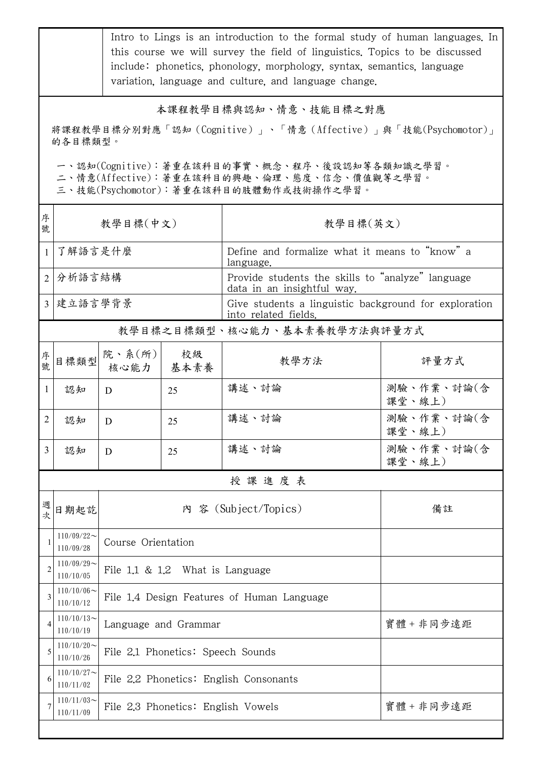|                                                                                                                                        | Intro to Lings is an introduction to the formal study of human languages. In<br>this course we will survey the field of linguistics. Topics to be discussed<br>include: phonetics, phonology, morphology, syntax, semantics, language<br>variation, language and culture, and language change. |                                                |            |                                                                                 |                      |  |  |
|----------------------------------------------------------------------------------------------------------------------------------------|------------------------------------------------------------------------------------------------------------------------------------------------------------------------------------------------------------------------------------------------------------------------------------------------|------------------------------------------------|------------|---------------------------------------------------------------------------------|----------------------|--|--|
| 本課程教學目標與認知、情意、技能目標之對應<br>將課程教學目標分別對應「認知(Cognitive)」、「情意(Affective)」與「技能(Psychomotor)」<br>的各目標類型。                                       |                                                                                                                                                                                                                                                                                                |                                                |            |                                                                                 |                      |  |  |
| 一、認知(Cognitive):著重在該科目的事實、概念、程序、後設認知等各類知識之學習。<br>二、情意(Affective):著重在該科目的興趣、倫理、態度、信念、價值觀等之學習。<br>三、技能(Psychomotor):著重在該科目的肢體動作或技術操作之學習。 |                                                                                                                                                                                                                                                                                                |                                                |            |                                                                                 |                      |  |  |
| 序<br>號                                                                                                                                 | 教學目標(中文)                                                                                                                                                                                                                                                                                       |                                                |            | 教學目標(英文)                                                                        |                      |  |  |
| $\mathbf{1}$                                                                                                                           | 了解語言是什麼                                                                                                                                                                                                                                                                                        |                                                |            | Define and formalize what it means to "know" a<br>language.                     |                      |  |  |
|                                                                                                                                        | 2 分析語言結構                                                                                                                                                                                                                                                                                       |                                                |            | Provide students the skills to "analyze" language<br>data in an insightful way. |                      |  |  |
|                                                                                                                                        | 3   建立語言學背景                                                                                                                                                                                                                                                                                    |                                                |            | Give students a linguistic background for exploration<br>into related fields.   |                      |  |  |
|                                                                                                                                        | 教學目標之目標類型、核心能力、基本素養教學方法與評量方式                                                                                                                                                                                                                                                                   |                                                |            |                                                                                 |                      |  |  |
| 序<br>號                                                                                                                                 | 目標類型                                                                                                                                                                                                                                                                                           | 院、系 $(\kappa)$  <br>核心能力                       | 校級<br>基本素養 | 教學方法                                                                            | 評量方式                 |  |  |
| $\mathbf{1}$                                                                                                                           | 認知                                                                                                                                                                                                                                                                                             | D                                              | 25         | 講述、討論                                                                           | 測驗、作業、討論(含<br>課堂、線上) |  |  |
| 2                                                                                                                                      | 認知                                                                                                                                                                                                                                                                                             | D                                              | 25         | 講述、討論                                                                           | 測驗、作業、討論(含<br>課堂、線上) |  |  |
| 3                                                                                                                                      | 認知                                                                                                                                                                                                                                                                                             | D                                              | 25         | 講述、討論                                                                           | 測驗、作業、討論(含<br>課堂、線上) |  |  |
|                                                                                                                                        |                                                                                                                                                                                                                                                                                                |                                                |            | 授課進度表                                                                           |                      |  |  |
| 週<br>次                                                                                                                                 | 日期起訖                                                                                                                                                                                                                                                                                           | 內 容 (Subject/Topics)                           |            |                                                                                 | 備註                   |  |  |
|                                                                                                                                        | $110/09/22$ ~<br>110/09/28                                                                                                                                                                                                                                                                     | Course Orientation                             |            |                                                                                 |                      |  |  |
| $\overline{2}$                                                                                                                         | $110/09/29$ ~<br>110/10/05                                                                                                                                                                                                                                                                     | File 1.1 & 1.2 What is Language                |            |                                                                                 |                      |  |  |
| 3                                                                                                                                      | $110/10/06 \sim$<br>110/10/12                                                                                                                                                                                                                                                                  | File 1.4 Design Features of Human Language     |            |                                                                                 |                      |  |  |
| 4                                                                                                                                      | $110/10/13$ ~<br>110/10/19                                                                                                                                                                                                                                                                     | Language and Grammar                           |            |                                                                                 | 實體+非同步遠距             |  |  |
| 5                                                                                                                                      | $110/10/20$ ~<br>110/10/26                                                                                                                                                                                                                                                                     | File 2.1 Phonetics: Speech Sounds              |            |                                                                                 |                      |  |  |
| 6                                                                                                                                      | $110/10/27$ ~<br>110/11/02                                                                                                                                                                                                                                                                     | File 2.2 Phonetics: English Consonants         |            |                                                                                 |                      |  |  |
|                                                                                                                                        | $110/11/03$ ~<br>110/11/09                                                                                                                                                                                                                                                                     | 實體+非同步遠距<br>File 2.3 Phonetics: English Vowels |            |                                                                                 |                      |  |  |
|                                                                                                                                        |                                                                                                                                                                                                                                                                                                |                                                |            |                                                                                 |                      |  |  |